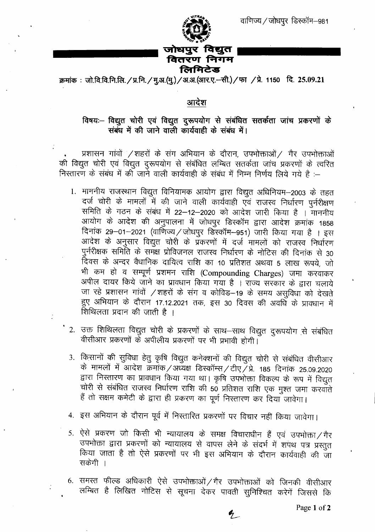

क्रमांक: जो.वि.वि.नि.लि. / प्र.नि. / मु.अ. (मु.) / अ.अ. (आर.ए.-सी.) / फा / प्रे. 1150 दि. 25.09.21

## आदेश

## विषयः- विद्युत चोरी एवं विद्युत दुरूपयोग से संबंधित सतर्कता जांच प्रकरणों के संबंध में की जाने वाली कार्यवाही के संबंध में।

प्रशासन गांवों /शहरों के संग अभियान के दौरान, उपभोक्ताओं/ गैर उपभोक्ताओं की विद्युत चोरी एवं विद्युत दुरूपयोग से संबंधित लम्बित सतर्कता जांच प्रकरणों के त्वरित निस्तारण के संबंध में की जाने वाली कार्यवाही के संबंध में निम्न निर्णय लिये गये है :-

- 1. माननीय राजस्थान विद्युत विनियामक आयोग द्वारा विद्युत अधिनियम-2003 के तहत दर्ज चोरी के मामलों में की जाने वाली कार्यवाही एवं राजस्व निर्धारण पुर्नरीक्षण समिति के गठन के संबंध में 22–12–2020 को आदेश जारी किया है । माननीय आयोग के आदेश की अनुपालना में जोधपुर डिस्कॉम द्वारा आदेश क्रमांक 1858 दिनांक 29-01-2021 (वाणिज्य / जोधपुर डिस्कॉम-951) जारी किया गया है । इस आदेश के अनुसार विद्युत चोरी के प्रकरणों में दर्ज मामलों को राजस्व निर्धारण पुर्नरीक्षक समिति के समक्ष प्रोविजनल राजस्व निर्धारण के नोटिस की दिनांक से 30 दिवस के अन्दर वैधानिक दायित्व राशि का 10 प्रतिशत अथवा 5 लाख रूपये, जो भी कम हो व सम्पूर्ण प्रशमन राशि (Compounding Charges) जमा करवाकर अपील दायर किये जाने का प्रावधान किया गया है । राज्य सरकार के द्वारा चलाये जा रहे प्रशासन गांवों /शहरों के संग व कोविड-19 के समय असुविधा को देखते हुए अभियान के दौरान 17.12.2021 तक, इस 30 दिवस की अवधि के प्रावधान में <u>शिथिलता प्रदान की जाती है ।</u>
- 2. उक्त शिथिलता विद्युत चोरी के प्रकरणों के साथ–साथ विद्युत दुरूपयोग से संबंधित वीसीआर प्रकरणों के अपीलीय प्रकरणों पर भी प्रभावी होगी।
- 3. किसानों की सुविधा हेतु कृषि विद्युत कनेक्शनों की विद्युत चोरी से संबंधित वीसीआर के मामलों में आदेश क्रमांक/अध्यक्ष डिस्कॉम्स/टीए/प्रे. 185 दिनांक 25.09.2020 द्वारा निस्तारण का प्रावधान किया गया था। कृषि उपभोक्ता विकल्प के रूप में विद्युत चोरी से संबंधित राजस्व निर्धारण राशि की 50 प्रतिशत राशि एक मुश्त जमा करवाते हैं तो सक्षम कमेटी के द्वारा ही प्रकरण का पूर्ण निस्तारण कर दिया जावेगा।
- 4. इस अभियान के दौरान पूर्व में निस्तारित प्रकरणों पर विचार नहीं किया जावेगा।
- 5. ऐसे प्रकरण जो किसी भी न्यायालय के समक्ष विचाराधीन हैं एवं उपभोक्ता /गैर उपभोक्ता द्वारा प्रकरणों को न्यायालय से वापस लेने के संदर्भ में शपथ पत्र प्रस्तुत किया जाता है तो ऐसे प्रकरणों पर भी इस अभियान के दौरान कार्यवाही की जा सकेगी ।
- 6. समस्त फील्ड अधिकारी ऐसे उपभोक्ताओं / गैर उपभोक्ताओं को जिनकी वीसीआर लम्बित है लिखित नोटिस से सूचना देकर पावती सुनिश्चित करेगें जिससे कि

 $\mathbf{z}_1$